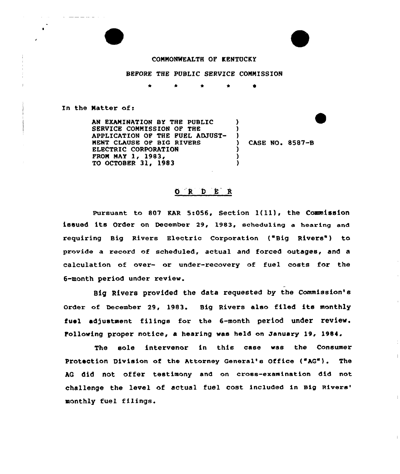## COMMONWEALTH OF KENTUCKY

## BEFORE THE PUBLIC SERVICE COMMISSION

\* \*

 $\lambda$ )  $\left\{ \right\}$ 

> ) )<br>)

In the Natter of:

 $\omega$  . These mass mass are also also the  $\sim 10^{-1}$ 

AN EXAMINATION BY THE PUBLIC SERUICE CONNISSION OF THE APPLICATION OF THE FUEL ADJUST-NENT CLAUSE OF BIG RIVERS ELECTRIC CORPORATION FROM MAY 1, 1983, TO OCTOBER 31, 1983

CASE NO. 8587-B

 $\overline{\phantom{a}}$ 

 $\pm$ 

## 0 R D E R

Pursuant to 807 KAR 5:056, Section l(ll), the Commission issued its order on December 29, 1983, scheduling a hearing and requiring Big Rivers Electric Corporation ("Big Rivers") to provide a record of scheduled, actual and forced outages, and a calculation of over- or under-recovery of fuel costs for the 6-month period under review.

Big Rivers provided the data requested by the Commission's Order of December 29, 1983. Big Rivers also filed its monthly fuel adjustment filings for the 6-month period under review. Following proper notice, a hearing was held on January 19, 1984.

The sole intervenor in this case was the Consumer Protection Division of the Attorney General's office ("AQ"). The AG did not offer testimony and on cross-examination did not challenge the level of actual fuel cost included in Big monthly fuel filings.